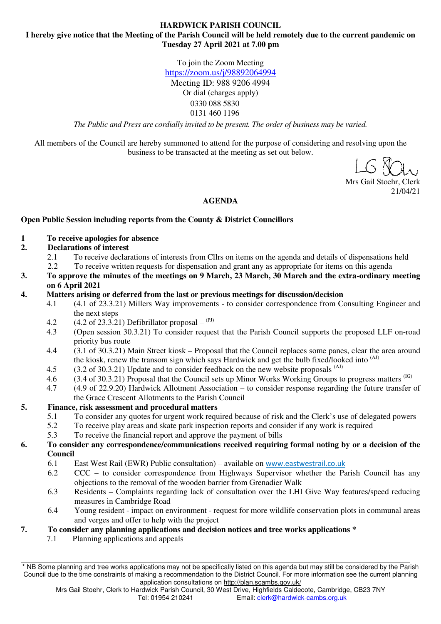#### **HARDWICK PARISH COUNCIL I hereby give notice that the Meeting of the Parish Council will be held remotely due to the current pandemic on Tuesday 27 April 2021 at 7.00 pm**

To join the Zoom Meeting https://zoom.us/j/98892064994 Meeting ID: 988 9206 4994 Or dial (charges apply) 0330 088 5830 0131 460 1196

*The Public and Press are cordially invited to be present. The order of business may be varied.* 

All members of the Council are hereby summoned to attend for the purpose of considering and resolving upon the business to be transacted at the meeting as set out below.

Mrs Gail Stoehr, Clerk 21/04/21

#### **AGENDA**

#### **Open Public Session including reports from the County & District Councillors**

**1 To receive apologies for absence** 

# **2. Declarations of interest**

- 2.1 To receive declarations of interests from Cllrs on items on the agenda and details of dispensations held
- 2.2 To receive written requests for dispensation and grant any as appropriate for items on this agenda
- **3. To approve the minutes of the meetings on 9 March, 23 March, 30 March and the extra-ordinary meeting on 6 April 2021**
- **4. Matters arising or deferred from the last or previous meetings for discussion/decision** 
	- 4.1 (4.1 of 23.3.21) Millers Way improvements to consider correspondence from Consulting Engineer and the next steps
	- 4.2 (4.2 of 23.3.21) Defibrillator proposal  $^{(PI)}$
	- 4.3 (Open session 30.3.21) To consider request that the Parish Council supports the proposed LLF on-road priority bus route
	- 4.4 (3.1 of 30.3.21) Main Street kiosk Proposal that the Council replaces some panes, clear the area around the kiosk, renew the transom sign which says Hardwick and get the bulb fixed/looked into <sup>(AJ)</sup>
	- 4.5 (3.2 of 30.3.21) Update and to consider feedback on the new website proposals <sup>(AJ)</sup>
	-
	- 4.6 (3.4 of 30.3.21) Proposal that the Council sets up Minor Works Working Groups to progress matters (IG)  $4.7$  (4.9 of 22.9.20) Hardwick Allotment Association to consider response regarding the future transfer 4.7 (4.9 of 22.9.20) Hardwick Allotment Association – to consider response regarding the future transfer of the Grace Crescent Allotments to the Parish Council

### **5. Finance, risk assessment and procedural matters**

- 5.1 To consider any quotes for urgent work required because of risk and the Clerk's use of delegated powers
- 5.2 To receive play areas and skate park inspection reports and consider if any work is required
- 5.3 To receive the financial report and approve the payment of bills
- **6. To consider any correspondence/communications received requiring formal noting by or a decision of the Council** 
	- 6.1 East West Rail (EWR) Public consultation) available on www.eastwestrail.co.uk
	- 6.2 CCC to consider correspondence from Highways Supervisor whether the Parish Council has any objections to the removal of the wooden barrier from Grenadier Walk
	- 6.3 Residents Complaints regarding lack of consultation over the LHI Give Way features/speed reducing measures in Cambridge Road
	- 6.4 Young resident impact on environment request for more wildlife conservation plots in communal areas and verges and offer to help with the project

### **7. To consider any planning applications and decision notices and tree works applications \***

7.1 Planning applications and appeals

<sup>\*</sup> NB Some planning and tree works applications may not be specifically listed on this agenda but may still be considered by the Parish Council due to the time constraints of making a recommendation to the District Council. For more information see the current planning application consultations on http://plan.scambs.gov.uk/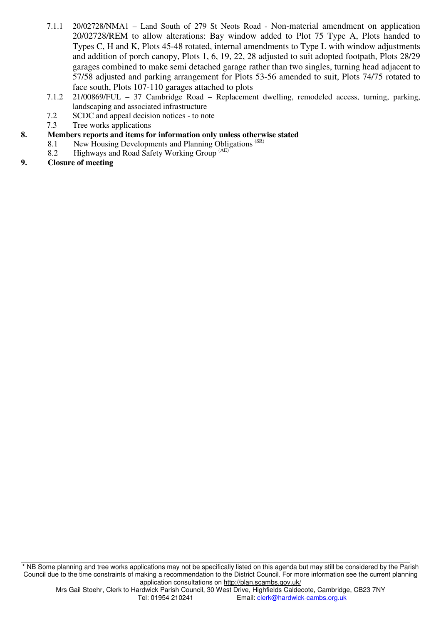- 7.1.1 20/02728/NMA1 Land South of 279 St Neots Road Non-material amendment on application 20/02728/REM to allow alterations: Bay window added to Plot 75 Type A, Plots handed to Types C, H and K, Plots 45-48 rotated, internal amendments to Type L with window adjustments and addition of porch canopy, Plots 1, 6, 19, 22, 28 adjusted to suit adopted footpath, Plots 28/29 garages combined to make semi detached garage rather than two singles, turning head adjacent to 57/58 adjusted and parking arrangement for Plots 53-56 amended to suit, Plots 74/75 rotated to face south, Plots 107-110 garages attached to plots
- 7.1.2 21/00869/FUL 37 Cambridge Road Replacement dwelling, remodeled access, turning, parking, landscaping and associated infrastructure
- 7.2 SCDC and appeal decision notices to note
- 7.3 Tree works applications
- **8. Members reports and items for information only unless otherwise stated** 
	- 8.1 New Housing Developments and Planning Obligations<sup>(SR)</sup>
	- 8.2 Highways and Road Safety Working Group (AE)
- **9. Closure of meeting**

\* NB Some planning and tree works applications may not be specifically listed on this agenda but may still be considered by the Parish Council due to the time constraints of making a recommendation to the District Council. For more information see the current planning application consultations on http://plan.scambs.gov.uk/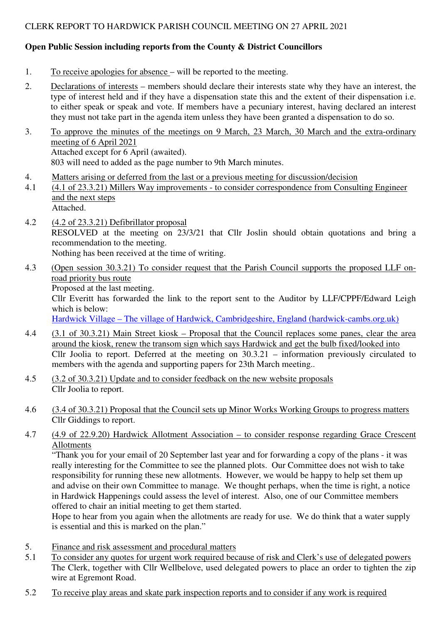# CLERK REPORT TO HARDWICK PARISH COUNCIL MEETING ON 27 APRIL 2021

# **Open Public Session including reports from the County & District Councillors**

- 1. To receive apologies for absence will be reported to the meeting.
- 2. Declarations of interests members should declare their interests state why they have an interest, the type of interest held and if they have a dispensation state this and the extent of their dispensation i.e. to either speak or speak and vote. If members have a pecuniary interest, having declared an interest they must not take part in the agenda item unless they have been granted a dispensation to do so.
- 3. To approve the minutes of the meetings on 9 March, 23 March, 30 March and the extra-ordinary meeting of 6 April 2021 Attached except for 6 April (awaited). 803 will need to added as the page number to 9th March minutes.
- 4. Matters arising or deferred from the last or a previous meeting for discussion/decision
- 4.1 (4.1 of 23.3.21) Millers Way improvements to consider correspondence from Consulting Engineer and the next steps Attached.
- 4.2 (4.2 of 23.3.21) Defibrillator proposal RESOLVED at the meeting on 23/3/21 that Cllr Joslin should obtain quotations and bring a recommendation to the meeting. Nothing has been received at the time of writing.
- 4.3 (Open session 30.3.21) To consider request that the Parish Council supports the proposed LLF onroad priority bus route Proposed at the last meeting.

Cllr Everitt has forwarded the link to the report sent to the Auditor by LLF/CPPF/Edward Leigh which is below:

Hardwick Village – The village of Hardwick, Cambridgeshire, England (hardwick-cambs.org.uk)

- 4.4 (3.1 of 30.3.21) Main Street kiosk Proposal that the Council replaces some panes, clear the area around the kiosk, renew the transom sign which says Hardwick and get the bulb fixed/looked into Cllr Joolia to report. Deferred at the meeting on 30.3.21 – information previously circulated to members with the agenda and supporting papers for 23th March meeting..
- 4.5 (3.2 of 30.3.21) Update and to consider feedback on the new website proposals Cllr Joolia to report.
- 4.6 (3.4 of 30.3.21) Proposal that the Council sets up Minor Works Working Groups to progress matters Cllr Giddings to report.
- 4.7 (4.9 of 22.9.20) Hardwick Allotment Association to consider response regarding Grace Crescent Allotments

"Thank you for your email of 20 September last year and for forwarding a copy of the plans - it was really interesting for the Committee to see the planned plots. Our Committee does not wish to take responsibility for running these new allotments. However, we would be happy to help set them up and advise on their own Committee to manage. We thought perhaps, when the time is right, a notice in Hardwick Happenings could assess the level of interest. Also, one of our Committee members offered to chair an initial meeting to get them started.

Hope to hear from you again when the allotments are ready for use. We do think that a water supply is essential and this is marked on the plan."

- 5. Finance and risk assessment and procedural matters
- 5.1 To consider any quotes for urgent work required because of risk and Clerk's use of delegated powers The Clerk, together with Cllr Wellbelove, used delegated powers to place an order to tighten the zip wire at Egremont Road.
- 5.2 To receive play areas and skate park inspection reports and to consider if any work is required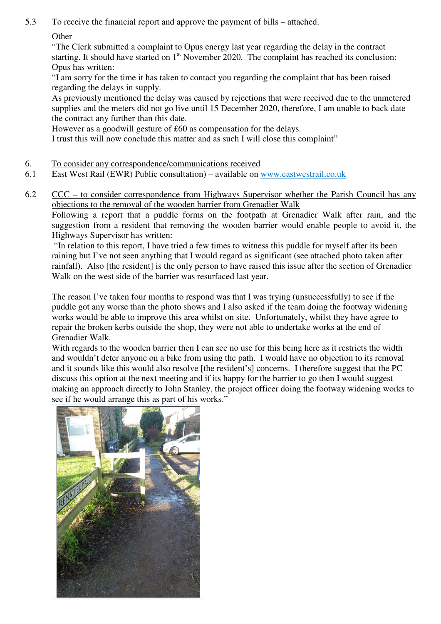5.3 To receive the financial report and approve the payment of bills – attached.

**Other** 

"The Clerk submitted a complaint to Opus energy last year regarding the delay in the contract starting. It should have started on 1<sup>st</sup> November 2020. The complaint has reached its conclusion: Opus has written:

"I am sorry for the time it has taken to contact you regarding the complaint that has been raised regarding the delays in supply.

As previously mentioned the delay was caused by rejections that were received due to the unmetered supplies and the meters did not go live until 15 December 2020, therefore, I am unable to back date the contract any further than this date.

However as a goodwill gesture of £60 as compensation for the delays.

I trust this will now conclude this matter and as such I will close this complaint"

- 6. To consider any correspondence/communications received
- 6.1 East West Rail (EWR) Public consultation) available on www.eastwestrail.co.uk
- 6.2 CCC to consider correspondence from Highways Supervisor whether the Parish Council has any objections to the removal of the wooden barrier from Grenadier Walk

Following a report that a puddle forms on the footpath at Grenadier Walk after rain, and the suggestion from a resident that removing the wooden barrier would enable people to avoid it, the Highways Supervisor has written:

 "In relation to this report, I have tried a few times to witness this puddle for myself after its been raining but I've not seen anything that I would regard as significant (see attached photo taken after rainfall). Also [the resident] is the only person to have raised this issue after the section of Grenadier Walk on the west side of the barrier was resurfaced last year.

The reason I've taken four months to respond was that I was trying (unsuccessfully) to see if the puddle got any worse than the photo shows and I also asked if the team doing the footway widening works would be able to improve this area whilst on site. Unfortunately, whilst they have agree to repair the broken kerbs outside the shop, they were not able to undertake works at the end of Grenadier Walk.

With regards to the wooden barrier then I can see no use for this being here as it restricts the width and wouldn't deter anyone on a bike from using the path. I would have no objection to its removal and it sounds like this would also resolve [the resident's] concerns. I therefore suggest that the PC discuss this option at the next meeting and if its happy for the barrier to go then I would suggest making an approach directly to John Stanley, the project officer doing the footway widening works to see if he would arrange this as part of his works."

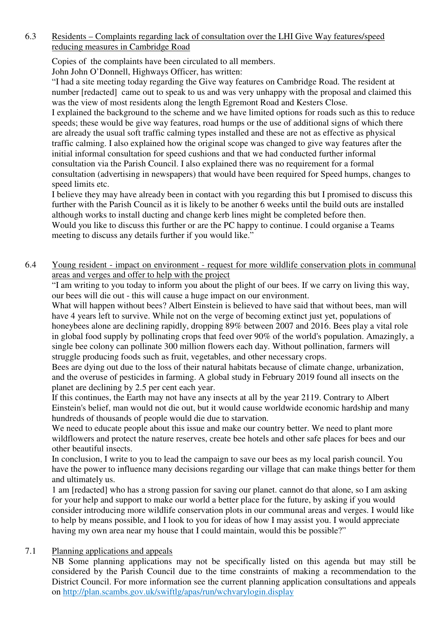# 6.3 Residents – Complaints regarding lack of consultation over the LHI Give Way features/speed reducing measures in Cambridge Road

Copies of the complaints have been circulated to all members.

John John O'Donnell, Highways Officer, has written:

"I had a site meeting today regarding the Give way features on Cambridge Road. The resident at number [redacted] came out to speak to us and was very unhappy with the proposal and claimed this was the view of most residents along the length Egremont Road and Kesters Close.

I explained the background to the scheme and we have limited options for roads such as this to reduce speeds; these would be give way features, road humps or the use of additional signs of which there are already the usual soft traffic calming types installed and these are not as effective as physical traffic calming. I also explained how the original scope was changed to give way features after the initial informal consultation for speed cushions and that we had conducted further informal consultation via the Parish Council. I also explained there was no requirement for a formal consultation (advertising in newspapers) that would have been required for Speed humps, changes to speed limits etc.

I believe they may have already been in contact with you regarding this but I promised to discuss this further with the Parish Council as it is likely to be another 6 weeks until the build outs are installed although works to install ducting and change kerb lines might be completed before then.

Would you like to discuss this further or are the PC happy to continue. I could organise a Teams meeting to discuss any details further if you would like."

6.4 Young resident - impact on environment - request for more wildlife conservation plots in communal areas and verges and offer to help with the project

"I am writing to you today to inform you about the plight of our bees. If we carry on living this way, our bees will die out - this will cause a huge impact on our environment.

What will happen without bees? Albert Einstein is believed to have said that without bees, man will have 4 years left to survive. While not on the verge of becoming extinct just yet, populations of honeybees alone are declining rapidly, dropping 89% between 2007 and 2016. Bees play a vital role in global food supply by pollinating crops that feed over 90% of the world's population. Amazingly, a single bee colony can pollinate 300 million flowers each day. Without pollination, farmers will struggle producing foods such as fruit, vegetables, and other necessary crops.

Bees are dying out due to the loss of their natural habitats because of climate change, urbanization, and the overuse of pesticides in farming. A global study in February 2019 found all insects on the planet are declining by 2.5 per cent each year.

If this continues, the Earth may not have any insects at all by the year 2119. Contrary to Albert Einstein's belief, man would not die out, but it would cause worldwide economic hardship and many hundreds of thousands of people would die due to starvation.

We need to educate people about this issue and make our country better. We need to plant more wildflowers and protect the nature reserves, create bee hotels and other safe places for bees and our other beautiful insects.

In conclusion, I write to you to lead the campaign to save our bees as my local parish council. You have the power to influence many decisions regarding our village that can make things better for them and ultimately us.

1 am [redacted] who has a strong passion for saving our planet. cannot do that alone, so I am asking for your help and support to make our world a better place for the future, by asking if you would consider introducing more wildlife conservation plots in our communal areas and verges. I would like to help by means possible, and I look to you for ideas of how I may assist you. I would appreciate having my own area near my house that I could maintain, would this be possible?"

# 7.1 Planning applications and appeals

NB Some planning applications may not be specifically listed on this agenda but may still be considered by the Parish Council due to the time constraints of making a recommendation to the District Council. For more information see the current planning application consultations and appeals on http://plan.scambs.gov.uk/swiftlg/apas/run/wchvarylogin.display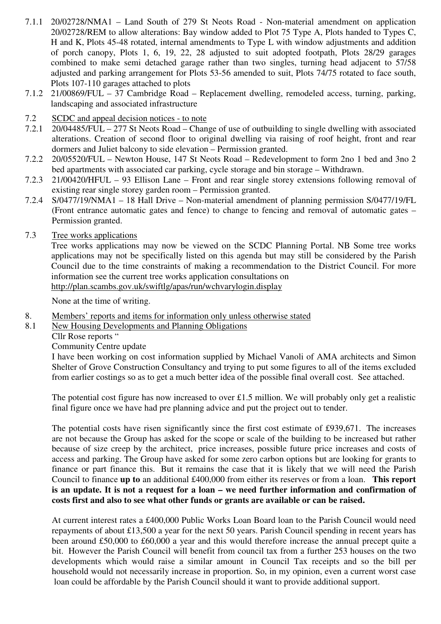- 7.1.1 20/02728/NMA1 Land South of 279 St Neots Road Non-material amendment on application 20/02728/REM to allow alterations: Bay window added to Plot 75 Type A, Plots handed to Types C, H and K, Plots 45-48 rotated, internal amendments to Type L with window adjustments and addition of porch canopy, Plots 1, 6, 19, 22, 28 adjusted to suit adopted footpath, Plots 28/29 garages combined to make semi detached garage rather than two singles, turning head adjacent to 57/58 adjusted and parking arrangement for Plots 53-56 amended to suit, Plots 74/75 rotated to face south, Plots 107-110 garages attached to plots
- 7.1.2 21/00869/FUL 37 Cambridge Road Replacement dwelling, remodeled access, turning, parking, landscaping and associated infrastructure
- 7.2 SCDC and appeal decision notices to note
- 7.2.1 20/04485/FUL 277 St Neots Road Change of use of outbuilding to single dwelling with associated alterations. Creation of second floor to original dwelling via raising of roof height, front and rear dormers and Juliet balcony to side elevation – Permission granted.
- 7.2.2 20/05520/FUL Newton House, 147 St Neots Road Redevelopment to form 2no 1 bed and 3no 2 bed apartments with associated car parking, cycle storage and bin storage – Withdrawn.
- 7.2.3 21/00420/HFUL 93 Ellison Lane Front and rear single storey extensions following removal of existing rear single storey garden room – Permission granted.
- 7.2.4 S/0477/19/NMA1 18 Hall Drive Non-material amendment of planning permission S/0477/19/FL (Front entrance automatic gates and fence) to change to fencing and removal of automatic gates – Permission granted.
- 7.3 Tree works applications

Tree works applications may now be viewed on the SCDC Planning Portal. NB Some tree works applications may not be specifically listed on this agenda but may still be considered by the Parish Council due to the time constraints of making a recommendation to the District Council. For more information see the current tree works application consultations on http://plan.scambs.gov.uk/swiftlg/apas/run/wchvarylogin.display

None at the time of writing.

- 8. Members' reports and items for information only unless otherwise stated
- 8.1 New Housing Developments and Planning Obligations

Cllr Rose reports "

Community Centre update

I have been working on cost information supplied by Michael Vanoli of AMA architects and Simon Shelter of Grove Construction Consultancy and trying to put some figures to all of the items excluded from earlier costings so as to get a much better idea of the possible final overall cost. See attached.

The potential cost figure has now increased to over £1.5 million. We will probably only get a realistic final figure once we have had pre planning advice and put the project out to tender.

The potential costs have risen significantly since the first cost estimate of £939,671. The increases are not because the Group has asked for the scope or scale of the building to be increased but rather because of size creep by the architect, price increases, possible future price increases and costs of access and parking. The Group have asked for some zero carbon options but are looking for grants to finance or part finance this. But it remains the case that it is likely that we will need the Parish Council to finance **up to** an additional £400,000 from either its reserves or from a loan. **This report is an update. It is not a request for a loan – we need further information and confirmation of costs first and also to see what other funds or grants are available or can be raised.**

At current interest rates a £400,000 Public Works Loan Board loan to the Parish Council would need repayments of about £13,500 a year for the next 50 years. Parish Council spending in recent years has been around £50,000 to £60,000 a year and this would therefore increase the annual precept quite a bit. However the Parish Council will benefit from council tax from a further 253 houses on the two developments which would raise a similar amount in Council Tax receipts and so the bill per household would not necessarily increase in proportion. So, in my opinion, even a current worst case loan could be affordable by the Parish Council should it want to provide additional support.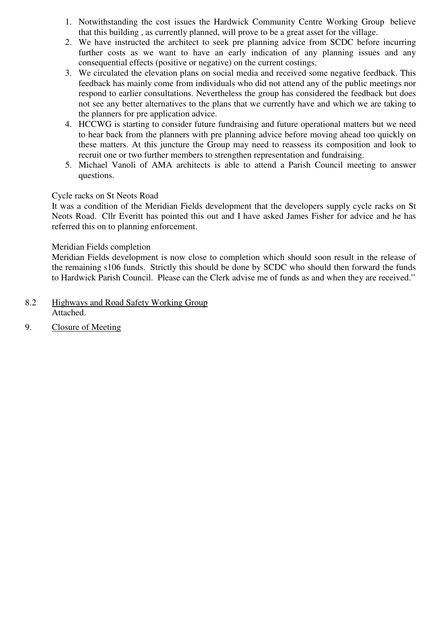- 1. Notwithstanding the cost issues the Hardwick Community Centre Working Group believe that this building , as currently planned, will prove to be a great asset for the village.
- 2. We have instructed the architect to seek pre planning advice from SCDC before incurring further costs as we want to have an early indication of any planning issues and any consequential effects (positive or negative) on the current costings.
- 3. We circulated the elevation plans on social media and received some negative feedback. This feedback has mainly come from individuals who did not attend any of the public meetings nor respond to earlier consultations. Nevertheless the group has considered the feedback but does not see any better alternatives to the plans that we currently have and which we are taking to the planners for pre application advice.
- 4. HCCWG is starting to consider future fundraising and future operational matters but we need to hear back from the planners with pre planning advice before moving ahead too quickly on these matters. At this juncture the Group may need to reassess its composition and look to recruit one or two further members to strengthen representation and fundraising.
- 5. Michael Vanoli of AMA architects is able to attend a Parish Council meeting to answer questions.

# Cycle racks on St Neots Road

It was a condition of the Meridian Fields development that the developers supply cycle racks on St Neots Road. Cllr Everitt has pointed this out and I have asked James Fisher for advice and he has referred this on to planning enforcement.

# Meridian Fields completion

Meridian Fields development is now close to completion which should soon result in the release of the remaining s106 funds. Strictly this should be done by SCDC who should then forward the funds to Hardwick Parish Council. Please can the Clerk advise me of funds as and when they are received."

- 8.2 Highways and Road Safety Working Group Attached.
- 9. Closure of Meeting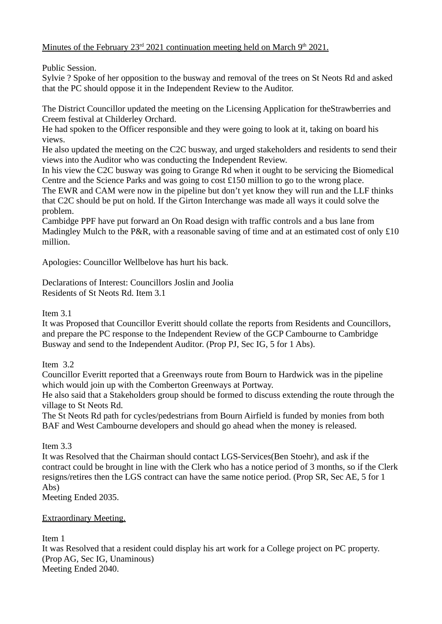Minutes of the February 23<sup>rd</sup> 2021 continuation meeting held on March 9<sup>th</sup> 2021.

Public Session.

Sylvie ? Spoke of her opposition to the busway and removal of the trees on St Neots Rd and asked that the PC should oppose it in the Independent Review to the Auditor.

The District Councillor updated the meeting on the Licensing Application for theStrawberries and Creem festival at Childerley Orchard.

He had spoken to the Officer responsible and they were going to look at it, taking on board his views.

He also updated the meeting on the C2C busway, and urged stakeholders and residents to send their views into the Auditor who was conducting the Independent Review.

In his view the C2C busway was going to Grange Rd when it ought to be servicing the Biomedical Centre and the Science Parks and was going to cost £150 million to go to the wrong place. The EWR and CAM were now in the pipeline but don't yet know they will run and the LLF thinks that C2C should be put on hold. If the Girton Interchange was made all ways it could solve the problem.

Cambidge PPF have put forward an On Road design with traffic controls and a bus lane from Madingley Mulch to the P&R, with a reasonable saving of time and at an estimated cost of only £10 million.

Apologies: Councillor Wellbelove has hurt his back.

Declarations of Interest: Councillors Joslin and Joolia Residents of St Neots Rd. Item 3.1

# Item 3.1

It was Proposed that Councillor Everitt should collate the reports from Residents and Councillors, and prepare the PC response to the Independent Review of the GCP Cambourne to Cambridge Busway and send to the Independent Auditor. (Prop PJ, Sec IG, 5 for 1 Abs).

# Item 3.2

Councillor Everitt reported that a Greenways route from Bourn to Hardwick was in the pipeline which would join up with the Comberton Greenways at Portway.

He also said that a Stakeholders group should be formed to discuss extending the route through the village to St Neots Rd.

The St Neots Rd path for cycles/pedestrians from Bourn Airfield is funded by monies from both BAF and West Cambourne developers and should go ahead when the money is released.

Item 3.3

It was Resolved that the Chairman should contact LGS-Services(Ben Stoehr), and ask if the contract could be brought in line with the Clerk who has a notice period of 3 months, so if the Clerk resigns/retires then the LGS contract can have the same notice period. (Prop SR, Sec AE, 5 for 1 Abs)

Meeting Ended 2035.

# Extraordinary Meeting.

Item 1

It was Resolved that a resident could display his art work for a College project on PC property. (Prop AG, Sec IG, Unaminous) Meeting Ended 2040.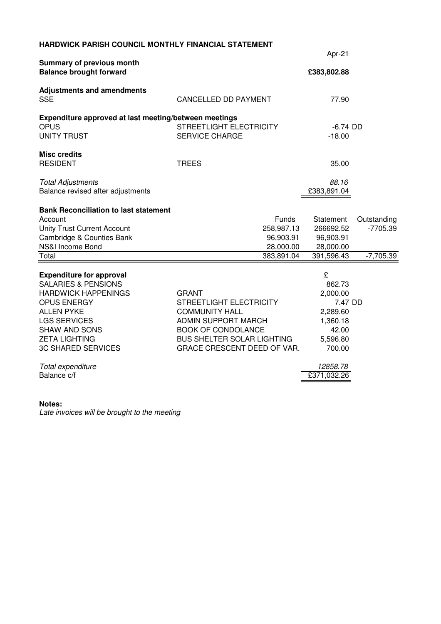| HARDWICK PARISH COUNCIL MONTHLY FINANCIAL STATEMENT                                                                                                                                                                                                                                |                                                                                                                                                                                          |                                                                                                                      |                                          |  |  |  |
|------------------------------------------------------------------------------------------------------------------------------------------------------------------------------------------------------------------------------------------------------------------------------------|------------------------------------------------------------------------------------------------------------------------------------------------------------------------------------------|----------------------------------------------------------------------------------------------------------------------|------------------------------------------|--|--|--|
|                                                                                                                                                                                                                                                                                    | Apr-21                                                                                                                                                                                   |                                                                                                                      |                                          |  |  |  |
| Summary of previous month<br><b>Balance brought forward</b>                                                                                                                                                                                                                        |                                                                                                                                                                                          | £383,802.88                                                                                                          |                                          |  |  |  |
| <b>Adjustments and amendments</b><br><b>SSE</b>                                                                                                                                                                                                                                    | <b>CANCELLED DD PAYMENT</b>                                                                                                                                                              | 77.90                                                                                                                |                                          |  |  |  |
| Expenditure approved at last meeting/between meetings<br><b>OPUS</b><br><b>UNITY TRUST</b>                                                                                                                                                                                         | STREETLIGHT ELECTRICITY<br><b>SERVICE CHARGE</b>                                                                                                                                         | $-6.74$ DD<br>$-18.00$                                                                                               |                                          |  |  |  |
| <b>Misc credits</b><br><b>RESIDENT</b>                                                                                                                                                                                                                                             | <b>TREES</b>                                                                                                                                                                             | 35.00                                                                                                                |                                          |  |  |  |
| <b>Total Adjustments</b><br>Balance revised after adjustments                                                                                                                                                                                                                      |                                                                                                                                                                                          | 88.16<br>£383,891.04                                                                                                 |                                          |  |  |  |
| <b>Bank Reconciliation to last statement</b><br>Account<br><b>Unity Trust Current Account</b><br>Cambridge & Counties Bank<br>NS&I Income Bond<br>Total                                                                                                                            | Funds<br>258,987.13<br>96,903.91<br>28,000.00<br>383,891.04                                                                                                                              | Statement<br>266692.52<br>96,903.91<br>28,000.00<br>391,596.43                                                       | Outstanding<br>$-7705.39$<br>$-7,705.39$ |  |  |  |
| <b>Expenditure for approval</b><br><b>SALARIES &amp; PENSIONS</b><br><b>HARDWICK HAPPENINGS</b><br><b>OPUS ENERGY</b><br><b>ALLEN PYKE</b><br><b>LGS SERVICES</b><br><b>SHAW AND SONS</b><br><b>ZETA LIGHTING</b><br><b>3C SHARED SERVICES</b><br>Total expenditure<br>Balance c/f | <b>GRANT</b><br>STREETLIGHT ELECTRICITY<br><b>COMMUNITY HALL</b><br><b>ADMIN SUPPORT MARCH</b><br><b>BOOK OF CONDOLANCE</b><br>BUS SHELTER SOLAR LIGHTING<br>GRACE CRESCENT DEED OF VAR. | £<br>862.73<br>2,000.00<br>7.47 DD<br>2,289.60<br>1,360.18<br>42.00<br>5,596.80<br>700.00<br>12858.78<br>£371,032.26 |                                          |  |  |  |

#### **Notes:**

Late invoices will be brought to the meeting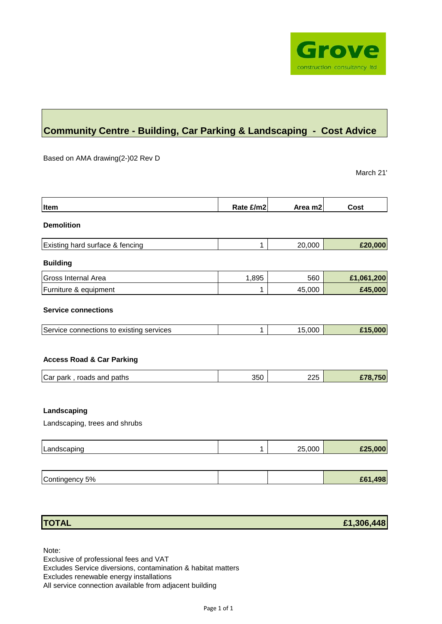

# **Community Centre - Building, Car Parking & Landscaping - Cost Advice**

Based on AMA drawing(2-)02 Rev D

March 21'

| Item                                         | Rate £/m2 | Area m2 | Cost       |
|----------------------------------------------|-----------|---------|------------|
| <b>Demolition</b>                            |           |         |            |
| Existing hard surface & fencing              | 1         | 20,000  | £20,000    |
| <b>Building</b>                              |           |         |            |
| Gross Internal Area                          | 1,895     | 560     | £1,061,200 |
| Furniture & equipment                        | 1         | 45,000  | £45,000    |
| <b>Service connections</b>                   |           |         |            |
| Service connections to existing services     | 1         | 15,000  | £15,000    |
| <b>Access Road &amp; Car Parking</b>         |           |         |            |
| Car park, roads and paths                    | 350       | 225     | £78,750    |
| Landscaping<br>Landscaping, trees and shrubs |           |         |            |
| Landscaping                                  | 1         | 25,000  | £25,000    |
|                                              |           |         |            |
| Contingency 5%                               |           |         | £61,498    |

| <b>TOTAL</b> | £1,306,448 |
|--------------|------------|
|              |            |

Note:

Exclusive of professional fees and VAT Excludes Service diversions, contamination & habitat matters Excludes renewable energy installations All service connection available from adjacent building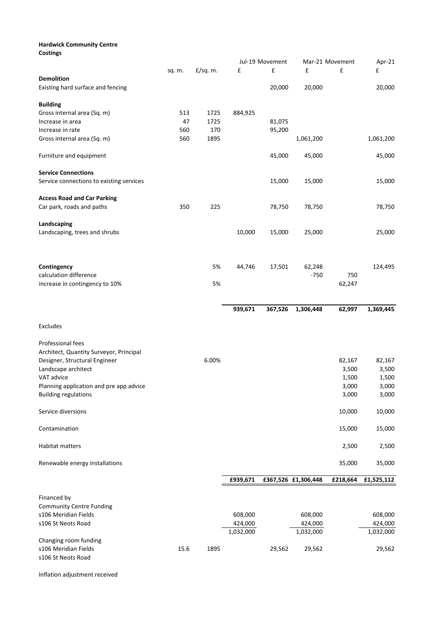#### **Hardwick Community Centre Costings**

|                                          |        |            | Jul-19 Movement |         | Mar-21 Movement     |          | Apr-21     |
|------------------------------------------|--------|------------|-----------------|---------|---------------------|----------|------------|
|                                          | sq. m. | $E/sq.$ m. | £               | £       | £                   | £        | £          |
| <b>Demolition</b>                        |        |            |                 |         |                     |          |            |
|                                          |        |            |                 |         |                     |          |            |
| Existing hard surface and fencing        |        |            |                 | 20,000  | 20,000              |          | 20,000     |
| <b>Building</b>                          |        |            |                 |         |                     |          |            |
| Gross internal area (Sq. m)              | 513    | 1725       | 884,925         |         |                     |          |            |
|                                          |        |            |                 |         |                     |          |            |
| Increase in area                         | 47     | 1725       |                 | 81,075  |                     |          |            |
| Increase in rate                         | 560    | 170        |                 | 95,200  |                     |          |            |
| Gross internal area (Sq. m)              | 560    | 1895       |                 |         | 1,061,200           |          | 1,061,200  |
| Furniture and equipment                  |        |            |                 | 45,000  | 45,000              |          | 45,000     |
| <b>Service Connections</b>               |        |            |                 |         |                     |          |            |
|                                          |        |            |                 |         |                     |          |            |
| Service connections to existing services |        |            |                 | 15,000  | 15,000              |          | 15,000     |
| <b>Access Road and Car Parking</b>       |        |            |                 |         |                     |          |            |
| Car park, roads and paths                | 350    | 225        |                 |         |                     |          |            |
|                                          |        |            |                 | 78,750  | 78,750              |          | 78,750     |
| Landscaping                              |        |            |                 |         |                     |          |            |
| Landscaping, trees and shrubs            |        |            | 10,000          | 15,000  | 25,000              |          | 25,000     |
|                                          |        |            |                 |         |                     |          |            |
|                                          |        |            |                 |         |                     |          |            |
| Contingency                              |        | 5%         | 44,746          | 17,501  | 62,248              |          | 124,495    |
| calculation difference                   |        |            |                 |         | $-750$              | 750      |            |
| increase in contingency to 10%           |        | 5%         |                 |         |                     | 62,247   |            |
|                                          |        |            |                 |         |                     |          |            |
|                                          |        |            |                 |         |                     |          |            |
|                                          |        |            | 939,671         | 367,526 | 1,306,448           | 62,997   | 1,369,445  |
| Excludes                                 |        |            |                 |         |                     |          |            |
|                                          |        |            |                 |         |                     |          |            |
| Professional fees                        |        |            |                 |         |                     |          |            |
| Architect, Quantity Surveyor, Principal  |        |            |                 |         |                     |          |            |
| Designer, Structural Engineer            |        | 6.00%      |                 |         |                     | 82,167   | 82,167     |
| Landscape architect                      |        |            |                 |         |                     | 3,500    | 3,500      |
| VAT advice                               |        |            |                 |         |                     | 1,500    | 1,500      |
| Planning application and pre app advice  |        |            |                 |         |                     | 3,000    | 3,000      |
| <b>Building regulations</b>              |        |            |                 |         |                     | 3,000    | 3,000      |
|                                          |        |            |                 |         |                     |          |            |
| Service diversions                       |        |            |                 |         |                     | 10,000   | 10,000     |
|                                          |        |            |                 |         |                     |          |            |
| Contamination                            |        |            |                 |         |                     | 15,000   | 15,000     |
|                                          |        |            |                 |         |                     |          |            |
| Habitat matters                          |        |            |                 |         |                     | 2,500    | 2,500      |
| Renewable energy installations           |        |            |                 |         |                     | 35,000   | 35,000     |
|                                          |        |            |                 |         |                     |          |            |
|                                          |        |            | £939,671        |         | £367,526 £1,306,448 | £218,664 | £1,525,112 |
|                                          |        |            |                 |         |                     |          |            |
| Financed by                              |        |            |                 |         |                     |          |            |
| <b>Community Centre Funding</b>          |        |            |                 |         |                     |          |            |
| s106 Meridian Fields                     |        |            | 608,000         |         | 608,000             |          | 608,000    |
| s106 St Neots Road                       |        |            | 424,000         |         | 424,000             |          | 424,000    |
|                                          |        |            | 1,032,000       |         | 1,032,000           |          | 1,032,000  |
| Changing room funding                    |        |            |                 |         |                     |          |            |
| s106 Meridian Fields                     | 15.6   | 1895       |                 | 29,562  | 29,562              |          | 29,562     |
| s106 St Neots Road                       |        |            |                 |         |                     |          |            |

Inflation adjustment received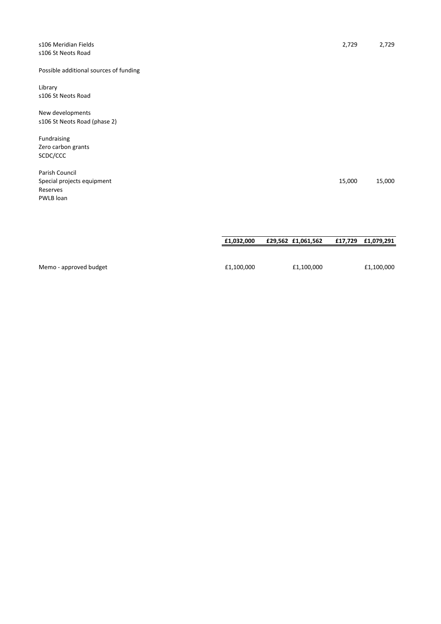| s106 Meridian Fields<br>s106 St Neots Road                            | 2,729  | 2,729  |
|-----------------------------------------------------------------------|--------|--------|
| Possible additional sources of funding                                |        |        |
| Library<br>s106 St Neots Road                                         |        |        |
| New developments<br>s106 St Neots Road (phase 2)                      |        |        |
| Fundraising<br>Zero carbon grants<br>SCDC/CCC                         |        |        |
| Parish Council<br>Special projects equipment<br>Reserves<br>PWLB loan | 15,000 | 15,000 |
|                                                                       |        |        |

| Memo - approved budget | £1.100.000 | £1,100,000 | £1,100,000 |
|------------------------|------------|------------|------------|

**£1,032,000 £29,562 £1,061,562 £17,729 £1,079,291**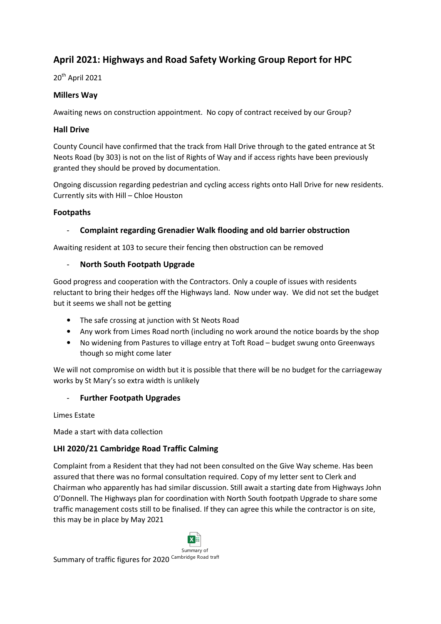# **April 2021: Highways and Road Safety Working Group Report for HPC**

20th April 2021

# **Millers Way**

Awaiting news on construction appointment. No copy of contract received by our Group?

# **Hall Drive**

County Council have confirmed that the track from Hall Drive through to the gated entrance at St Neots Road (by 303) is not on the list of Rights of Way and if access rights have been previously granted they should be proved by documentation.

Ongoing discussion regarding pedestrian and cycling access rights onto Hall Drive for new residents. Currently sits with Hill – Chloe Houston

# **Footpaths**

# - **Complaint regarding Grenadier Walk flooding and old barrier obstruction**

Awaiting resident at 103 to secure their fencing then obstruction can be removed

# - **North South Footpath Upgrade**

Good progress and cooperation with the Contractors. Only a couple of issues with residents reluctant to bring their hedges off the Highways land. Now under way. We did not set the budget but it seems we shall not be getting

- The safe crossing at junction with St Neots Road
- Any work from Limes Road north (including no work around the notice boards by the shop
- No widening from Pastures to village entry at Toft Road budget swung onto Greenways though so might come later

We will not compromise on width but it is possible that there will be no budget for the carriageway works by St Mary's so extra width is unlikely

### - **Further Footpath Upgrades**

Limes Estate

Made a start with data collection

# **LHI 2020/21 Cambridge Road Traffic Calming**

Complaint from a Resident that they had not been consulted on the Give Way scheme. Has been assured that there was no formal consultation required. Copy of my letter sent to Clerk and Chairman who apparently has had similar discussion. Still await a starting date from Highways John O'Donnell. The Highways plan for coordination with North South footpath Upgrade to share some traffic management costs still to be finalised. If they can agree this while the contractor is on site, this may be in place by May 2021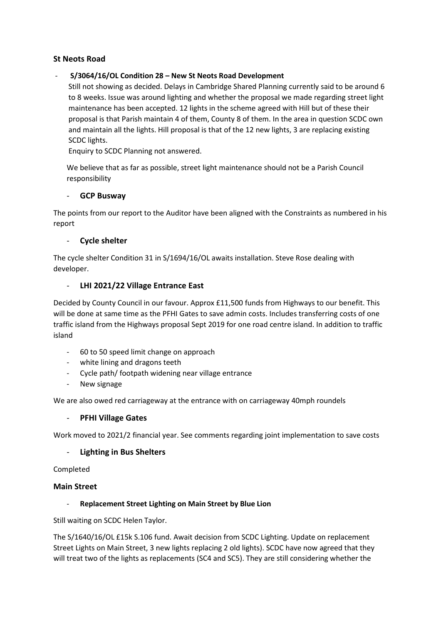# **St Neots Road**

### - **S/3064/16/OL Condition 28 – New St Neots Road Development**

Still not showing as decided. Delays in Cambridge Shared Planning currently said to be around 6 to 8 weeks. Issue was around lighting and whether the proposal we made regarding street light maintenance has been accepted. 12 lights in the scheme agreed with Hill but of these their proposal is that Parish maintain 4 of them, County 8 of them. In the area in question SCDC own and maintain all the lights. Hill proposal is that of the 12 new lights, 3 are replacing existing SCDC lights.

Enquiry to SCDC Planning not answered.

We believe that as far as possible, street light maintenance should not be a Parish Council responsibility

#### - **GCP Busway**

The points from our report to the Auditor have been aligned with the Constraints as numbered in his report

#### - **Cycle shelter**

The cycle shelter Condition 31 in S/1694/16/OL awaits installation. Steve Rose dealing with developer.

### - **LHI 2021/22 Village Entrance East**

Decided by County Council in our favour. Approx £11,500 funds from Highways to our benefit. This will be done at same time as the PFHI Gates to save admin costs. Includes transferring costs of one traffic island from the Highways proposal Sept 2019 for one road centre island. In addition to traffic island

- 60 to 50 speed limit change on approach
- white lining and dragons teeth
- Cycle path/ footpath widening near village entrance
- New signage

We are also owed red carriageway at the entrance with on carriageway 40mph roundels

#### - **PFHI Village Gates**

Work moved to 2021/2 financial year. See comments regarding joint implementation to save costs

### - **Lighting in Bus Shelters**

#### Completed

### **Main Street**

### - **Replacement Street Lighting on Main Street by Blue Lion**

Still waiting on SCDC Helen Taylor.

The S/1640/16/OL £15k S.106 fund. Await decision from SCDC Lighting. Update on replacement Street Lights on Main Street, 3 new lights replacing 2 old lights). SCDC have now agreed that they will treat two of the lights as replacements (SC4 and SC5). They are still considering whether the